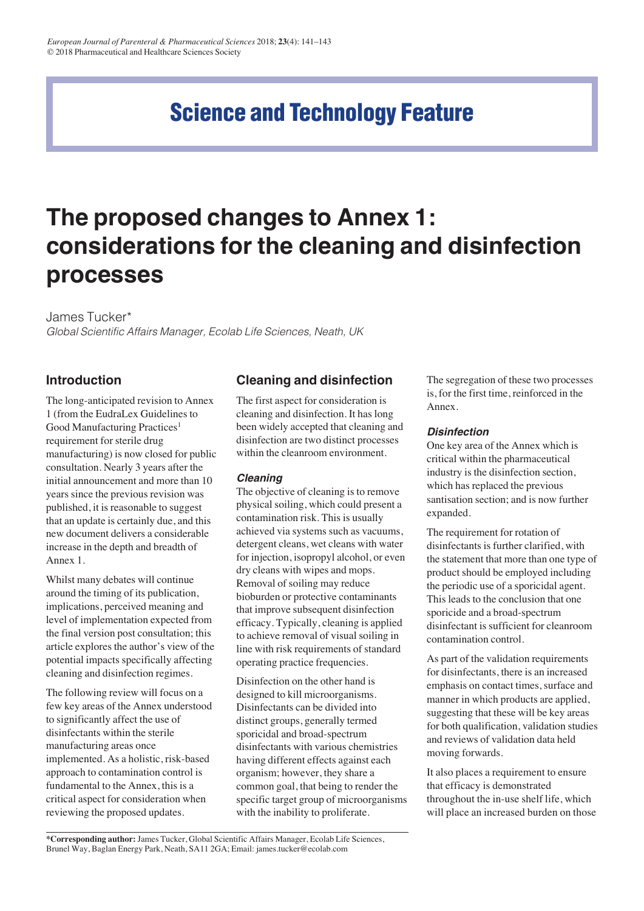# **Science and Technology Feature**

# **The proposed changes to Annex 1: considerations for the cleaning and disinfection processes**

James Tucker\*

Global Scientific Affairs Manager, Ecolab Life Sciences, Neath, UK

# **Introduction**

The long-anticipated revision to Annex 1 (from the EudraLex Guidelines to Good Manufacturing Practices<sup>1</sup> requirement for sterile drug manufacturing) is now closed for public consultation. Nearly 3 years after the initial announcement and more than 10 years since the previous revision was published, it is reasonable to suggest that an update is certainly due, and this new document delivers a considerable increase in the depth and breadth of Annex 1.

Whilst many debates will continue around the timing of its publication, implications, perceived meaning and level of implementation expected from the final version post consultation; this article explores the author's view of the potential impacts specifically affecting cleaning and disinfection regimes.

The following review will focus on a few key areas of the Annex understood to significantly affect the use of disinfectants within the sterile manufacturing areas once implemented. As a holistic, risk-based approach to contamination control is fundamental to the Annex, this is a critical aspect for consideration when reviewing the proposed updates.

# **Cleaning and disinfection**

The first aspect for consideration is cleaning and disinfection. It has long been widely accepted that cleaning and disinfection are two distinct processes within the cleanroom environment.

# *Cleaning*

The objective of cleaning is to remove physical soiling, which could present a contamination risk. This is usually achieved via systems such as vacuums, detergent cleans, wet cleans with water for injection, isopropyl alcohol, or even dry cleans with wipes and mops. Removal of soiling may reduce bioburden or protective contaminants that improve subsequent disinfection efficacy. Typically, cleaning is applied to achieve removal of visual soiling in line with risk requirements of standard operating practice frequencies.

Disinfection on the other hand is designed to kill microorganisms. Disinfectants can be divided into distinct groups, generally termed sporicidal and broad-spectrum disinfectants with various chemistries having different effects against each organism; however, they share a common goal, that being to render the specific target group of microorganisms with the inability to proliferate.

The segregation of these two processes is, for the first time, reinforced in the Annex.

# *Disinfection*

One key area of the Annex which is critical within the pharmaceutical industry is the disinfection section, which has replaced the previous santisation section; and is now further expanded.

The requirement for rotation of disinfectants is further clarified, with the statement that more than one type of product should be employed including the periodic use of a sporicidal agent. This leads to the conclusion that one sporicide and a broad-spectrum disinfectant is sufficient for cleanroom contamination control.

As part of the validation requirements for disinfectants, there is an increased emphasis on contact times, surface and manner in which products are applied, suggesting that these will be key areas for both qualification, validation studies and reviews of validation data held moving forwards.

It also places a requirement to ensure that efficacy is demonstrated throughout the in-use shelf life, which will place an increased burden on those

**\*Corresponding author:** James Tucker, Global Scientific Affairs Manager, Ecolab Life Sciences, Brunel Way, Baglan Energy Park, Neath, SA11 2GA; Email: james.tucker@ecolab.com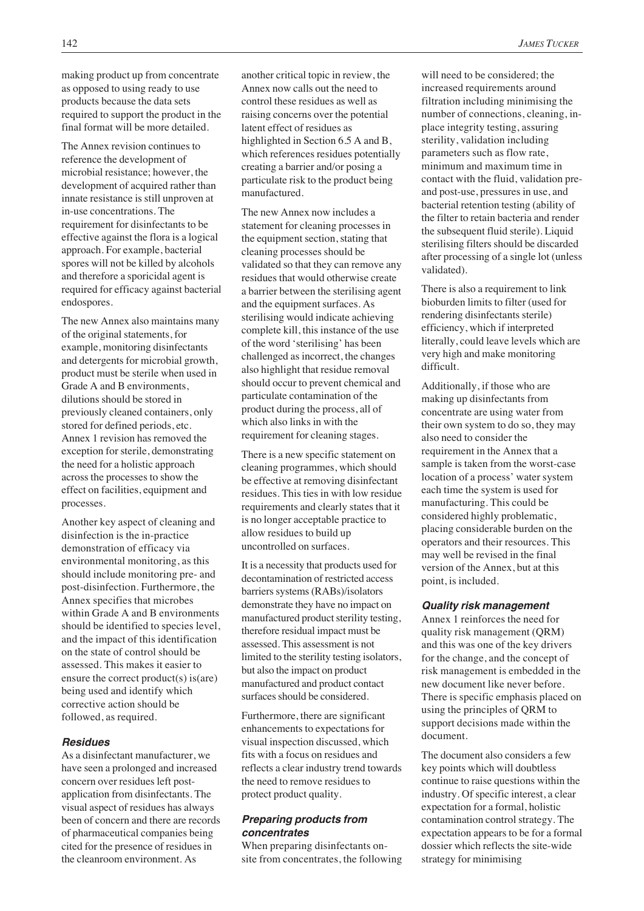making product up from concentrate as opposed to using ready to use products because the data sets required to support the product in the final format will be more detailed.

The Annex revision continues to reference the development of microbial resistance; however, the development of acquired rather than innate resistance is still unproven at in-use concentrations. The requirement for disinfectants to be effective against the flora is a logical approach. For example, bacterial spores will not be killed by alcohols and therefore a sporicidal agent is required for efficacy against bacterial endospores.

The new Annex also maintains many of the original statements, for example, monitoring disinfectants and detergents for microbial growth, product must be sterile when used in Grade A and B environments, dilutions should be stored in previously cleaned containers, only stored for defined periods, etc. Annex 1 revision has removed the exception for sterile, demonstrating the need for a holistic approach across the processes to show the effect on facilities, equipment and processes.

Another key aspect of cleaning and disinfection is the in-practice demonstration of efficacy via environmental monitoring, as this should include monitoring pre- and post-disinfection. Furthermore, the Annex specifies that microbes within Grade A and B environments should be identified to species level, and the impact of this identification on the state of control should be assessed. This makes it easier to ensure the correct product(s) is(are) being used and identify which corrective action should be followed, as required.

#### *Residues*

As a disinfectant manufacturer, we have seen a prolonged and increased concern over residues left postapplication from disinfectants. The visual aspect of residues has always been of concern and there are records of pharmaceutical companies being cited for the presence of residues in the cleanroom environment. As

another critical topic in review, the Annex now calls out the need to control these residues as well as raising concerns over the potential latent effect of residues as highlighted in Section 6.5 A and B, which references residues potentially creating a barrier and/or posing a particulate risk to the product being manufactured.

The new Annex now includes a statement for cleaning processes in the equipment section, stating that cleaning processes should be validated so that they can remove any residues that would otherwise create a barrier between the sterilising agent and the equipment surfaces. As sterilising would indicate achieving complete kill, this instance of the use of the word 'sterilising' has been challenged as incorrect, the changes also highlight that residue removal should occur to prevent chemical and particulate contamination of the product during the process, all of which also links in with the requirement for cleaning stages.

There is a new specific statement on cleaning programmes, which should be effective at removing disinfectant residues. This ties in with low residue requirements and clearly states that it is no longer acceptable practice to allow residues to build up uncontrolled on surfaces.

It is a necessity that products used for decontamination of restricted access barriers systems (RABs)/isolators demonstrate they have no impact on manufactured product sterility testing, therefore residual impact must be assessed. This assessment is not limited to the sterility testing isolators, but also the impact on product manufactured and product contact surfaces should be considered.

Furthermore, there are significant enhancements to expectations for visual inspection discussed, which fits with a focus on residues and reflects a clear industry trend towards the need to remove residues to protect product quality.

#### *Preparing products from concentrates*

When preparing disinfectants onsite from concentrates, the following will need to be considered; the increased requirements around filtration including minimising the number of connections, cleaning, inplace integrity testing, assuring sterility, validation including parameters such as flow rate, minimum and maximum time in contact with the fluid, validation preand post-use, pressures in use, and bacterial retention testing (ability of the filter to retain bacteria and render the subsequent fluid sterile). Liquid sterilising filters should be discarded after processing of a single lot (unless validated).

There is also a requirement to link bioburden limits to filter (used for rendering disinfectants sterile) efficiency, which if interpreted literally, could leave levels which are very high and make monitoring difficult.

Additionally, if those who are making up disinfectants from concentrate are using water from their own system to do so, they may also need to consider the requirement in the Annex that a sample is taken from the worst-case location of a process' water system each time the system is used for manufacturing. This could be considered highly problematic, placing considerable burden on the operators and their resources. This may well be revised in the final version of the Annex, but at this point, is included.

#### *Quality risk management*

Annex 1 reinforces the need for quality risk management (QRM) and this was one of the key drivers for the change, and the concept of risk management is embedded in the new document like never before. There is specific emphasis placed on using the principles of QRM to support decisions made within the document.

The document also considers a few key points which will doubtless continue to raise questions within the industry. Of specific interest, a clear expectation for a formal, holistic contamination control strategy. The expectation appears to be for a formal dossier which reflects the site-wide strategy for minimising